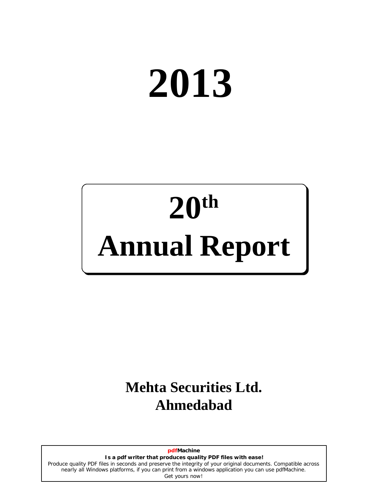# **2013**

## **20 th Annual Report**

## **Mehta Securities Ltd. Ahmedabad**

**pdfMachine Is a pdf writer that produces quality PDF files with ease!** [Produce quality PDF files in seconds and preserve the integrity of your original documents. Compatible across](http://www.pdfmachine.com?cl)  nearly all Windows platforms, if you can print from a windows application you can use pdfMachine. Get yours now!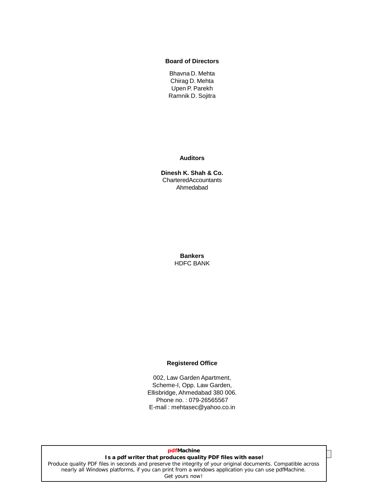#### **Board of Directors**

Bhavna D. Mehta Chirag D. Mehta Upen P. Parekh Ramnik D. Sojitra

**Auditors**

**Dinesh K. Shah & Co.** CharteredAccountants Ahmedabad

> **Bankers** HDFC BANK

#### **Registered Office**

002, Law Garden Apartment, Scheme-I, Opp. Law Garden, Ellisbridge, Ahmedabad 380 006. Phone no. : 079-26565567 E-mail : mehtasec@yahoo.co.in

#### **Is a pdf writer that produces quality PDF files with ease! pdfMachine**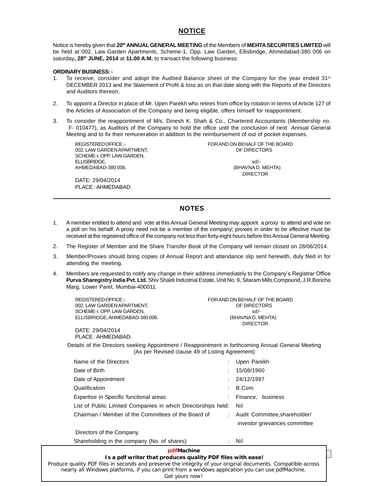#### **NOTICE**

Notice is hereby given that **20 th ANNUAL GENERAL MEETING** of the Members of **MEHTASECURITIES LIMITED** will be held at 002, Law Garden Apartments, Scheme-1, Opp. Law Garden, Ellisbridge, Ahmedabad-380 006 on saturday**, 28 th JUNE, 2014** at **11.00 A.M.** to transact the following business:

#### **ORDINARY BUSINESS:-**

- 1. To receive, consider and adopt the Audited Balance sheet of the Company for the year ended 31<sup>st</sup> DECEMBER 2013 and the Statement of Profit & loss as on that date along with the Reports of the Directors and Auditors thereon.
- 2. To appoint a Director in place of Mr. Upen Parekh who retires from office by rotation in terms of Article 127 of the Articles of Association of the Company and being eligible, offers himself for reappointment.
- 3. To consider the reappointment of M/s. Dinesh K. Shah & Co., Chartered Accountants (Membership no. F- 010477), as Auditors of the Company to hold the office until the conclusion of next Annual General Meeting and to fix their remuneration in addition to the reimbursement of out of pocket expenses.

002, LAW GARDEN APARTMENT, THE SERIES OF DIRECTORS SCHEME-I, OPP. LAW GARDEN, ELLISBRIDGE, sd/-

DATE: 29/04/2014 PLACE :AHMEDABAD.

REGISTEREDOFFICE:- FORAND ON BEHALF OF THE BOARD

(BHAVNA D. MEHTA) DIRECTOR

#### **NOTES**

- 1. A member entitled to attend and vote at this Annual General Meeting may appoint a proxy to attend and vote on a poll on his behalf. A proxy need not be a member of the company; proxies in order to be effective must be received at the registered office of the company not less than forty-eight hours before thisAnnual General Meeting.
- 2. The Register of Member and the Share Transfer Book of the Company will remain closed on 28/06/2014.
- 3. Member/Proxies should bring copies of Annual Report and attendance slip sent herewith, duly filed in for attending the meeting.
- 4. Members are requested to notify any change in their address immediately to the Companyís Registrar Office **Purva SharegistryIndia Pvt. Ltd.** Shiv Shakti Industrial Estate, Unit No: 9, Sitaram Mills Compound, J.R.Boricha Marg, Lower Parel, Mumbai-400011.

| REGISTERED OFFICE :-            |                                |
|---------------------------------|--------------------------------|
|                                 | FOR AND ON BEHALF OF THE BOARD |
| 002. LAW GARDEN APARTMENT.      | OF DIRECTORS                   |
| SCHEME-I. OPP. LAW GARDEN.      | $sd/$ -                        |
| ELLISBRIDGE. AHMEDABAD-380 006. | (BHAVNA D. MEHTA)              |
|                                 | <b>DIRECTOR</b>                |
|                                 |                                |

DATE: 29/04/2014 PLACE :AHMEDABAD.

Details of the Directors seeking Appointment / Reappointment in forthcoming Annual General Meeting (As per Revised clause 49 of Listing Agreement)

| Name of the Directors                                                                                                                                                                | Upen Parekh                     |
|--------------------------------------------------------------------------------------------------------------------------------------------------------------------------------------|---------------------------------|
| Date of Birth                                                                                                                                                                        | 15/08/1960                      |
| Date of Appointment                                                                                                                                                                  | : 24/12/1997                    |
| Qualification                                                                                                                                                                        | B.Com                           |
| Expertise in Specific functional areas                                                                                                                                               | Finance, business               |
| List of Public Limited Companies in which Directorships held:                                                                                                                        | Nil                             |
| Chairman / Member of the Committees of the Board of                                                                                                                                  | : Audit Committee, shareholder/ |
|                                                                                                                                                                                      | investor grievances committee   |
| Directors of the Company.                                                                                                                                                            |                                 |
| Shareholding in the company (No. of shares)                                                                                                                                          | Nil                             |
| pdfMachine<br>Is a pdf writer that produces quality PDF files with ease!<br>e auglitu DDE files in cooppele and procents the integritu of vaur arisinal desuments. Compatible coroco |                                 |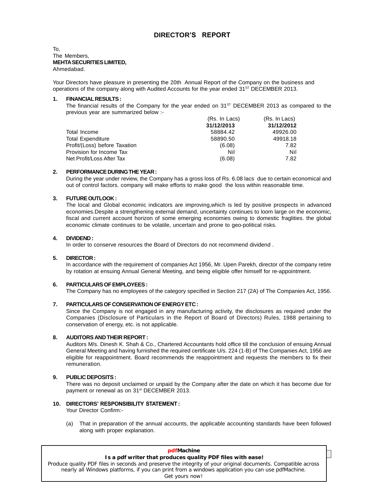## **DIRECTORíS REPORT**

#### To, The Members, **MEHTASECURITIESLIMITED,** Ahmedabad.

Your Directors have pleasure in presenting the 20th Annual Report of the Company on the business and operations of the company along with Audited Accounts for the year ended 31<sup>st</sup> DECEMBER 2013.

#### **1. FINANCIALRESULTS:**

The financial results of the Company for the year ended on  $31<sup>ST</sup>$  DECEMBER 2013 as compared to the previous year are summarized below :-

|                               | (Rs. In Lacs) | (Rs. In Lacs) |  |
|-------------------------------|---------------|---------------|--|
|                               | 31/12/2013    | 31/12/2012    |  |
| Total Income                  | 58884.42      | 49926.00      |  |
| <b>Total Expenditure</b>      | 58890.50      | 49918.18      |  |
| Profit/(Loss) before Taxation | (6.08)        | 7.82          |  |
| Provision for Income Tax      | Nil           | Nil           |  |
| Net Profit/Loss After Tax     | (6.08)        | 7.82          |  |

#### **2. PERFORMANCEDURINGTHEYEAR:**

During the year under review, the Company has a gross loss of Rs. 6.08 lacs due to certain economical and out of control factors. company will make efforts to make good the loss within reasonable time.

#### **3. FUTUREOUTLOOK:**

The local and Global economic indicators are improving,which is led by positive prospects in advanced economies.Despite a strengthening external demand, uncertainty continues to loom large on the economic, fiscal and current account horizon of some emerging economies owing to domestic fraglities. the global economic climate continues to be volatile, uncertain and prone to geo-political risks.

#### **4. DIVIDEND:**

In order to conserve resources the Board of Directors do not recommend dividend .

#### **5. DIRECTOR:**

In accordance with the requirement of companies Act 1956, Mr. Upen Parekh, director of the company retire by rotation at ensuing Annual General Meeting, and being eligible offer himself for re-appointment.

#### **6. PARTICULARSOFEMPLOYEES:**

The Company has no employees of the category specified in Section 217 (2A) of The Companies Act, 1956.

#### **7. PARTICULARSOF CONSERVATIONOFENERGYETC:**

Since the Company is not engaged in any manufacturing activity, the disclosures as required under the Companies (Disclosure of Particulars in the Report of Board of Directors) Rules, 1988 pertaining to conservation of energy, etc. is not applicable.

#### **8. AUDITORS ANDTHEIR REPORT:**

Auditors M/s. Dinesh K. Shah & Co., Chartered Accountants hold office till the conclusion of ensuing Annual General Meeting and having furnished the required certificate U/s.224 (1-B) of The Companies Act, 1956 are eligible for reappointment. Board recommends the reappointment and requests the members to fix their remuneration.

#### **9. PUBLIC DEPOSITS:**

There was no deposit unclaimed or unpaid by the Company after the date on which it has become due for payment or renewal as on 31<sup>st</sup> DECEMBER 2013.<br>**10. DIRECTORS' RESPONSIBILITY STATEMENT:** 

Your Director Confirm:-

(a) That in preparation of the annual accounts, the applicable accounting standards have been followed along with proper explanation.

| <b>pdfMachine</b>                                                                                             |  |
|---------------------------------------------------------------------------------------------------------------|--|
| Is a pdf writer that produces quality PDF files with ease!                                                    |  |
| Produce quality PDF files in seconds and preserve the integrity of your original documents. Compatible across |  |
| nearly all Windows platforms, if you can print from a windows application you can use pdfMachine.             |  |
| Get yours now!                                                                                                |  |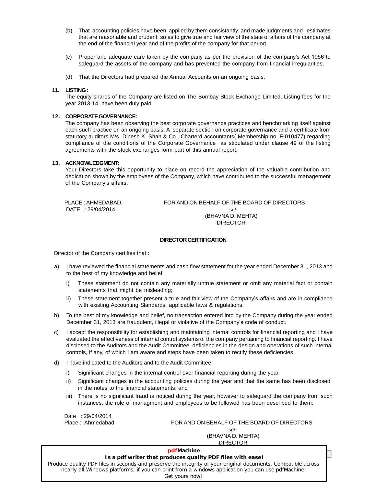- (b) That accounting policies have been applied by them consistantly and made judgments and estimates that are reasonable and prudent, so as to give true and fair view of the state of affairs of the company at the end of the financial year and of the profits of the company for that period.
- (c) Proper and adequate care taken by the company as per the provision of the companyís Act <sup>1956</sup> to safeguard the assets of the company and has prevented the company from financial irregularities.
- (d) That the Directors had prepared the Annual Accounts on an ongoing basis.

#### **11. LISTING:**

The equity shares of the Company are listed on The Bombay Stock Exchange Limited, Listing fees for the year 2013-14 have been duly paid.

#### **12. CORPORATEGOVERNANCE:**

The company has been observing the best corporate governance practices and benchmarking itself against each such practice on an ongoing basis. A separate section on corporate governance and a certificate from statutory auditors M/s. Dinesh K. Shah & Co., Charterd accountants( Membership no. F-010477) regarding compliance of the conditions of the Corporate Governance as stipulated under clause 49 of the listing agreements with the stock exchanges form part of this annual report.

#### **13. ACKNOWLEDGMENT:**

Your Directors take this opportunity to place on record the appreciation of the valuable contribution and of the Companyís affairs. dedication shown by the employees of the Company, which have contributed to the successful management

PLACE : AHMEDABAD. FOR AND ON BEHALF OF THE BOARD OF DIRECTORS DATE : 29/04/2014 sd/-(BHAVNA D. MEHTA) DIRECTOR

#### **DIRECTOR CERTIFICATION**

Director of the Company certifies that :

- a) I have reviewed the financial statements and cash flow statement for the year ended December 31, 2013 and to the best of my knowledge and belief:
	- i) These statement do not contain any materially untrue statement or omit any material fact or contain statements that might be misleading;
	- ii) These statement together present a true and fair view of the Company's affairs and are in compliance with existing Accounting Standards, applicable laws & regulations.
- b) To the best of my knowledge and belief, no transaction entered into by the Company during the year ended with existing Accounting Standards, applicable laws  $\alpha$  regulations.<br>To the best of my knowledge and belief, no transaction entered into by the Company during ti<br>December 31, 2013 are fraudulent, illegal or violative of t
- c) I accept the responsibility for establishing and maintaining internal controls for financial reporting and I have evaluated the effectiveness of internal control systems of the company pertaining to financial reporting. I have disclosed to the Auditors and the Audit Committee, deficiencies in the design and operations of such internal controls, if any, of which I am aware and steps have been taken to rectify these deficiencies.
- d) I have indicated to the Auditors and to the Audit Committee:
	- i) Significant changes in the internal control over financial reporting during the year.
	- ii) Significant changes in the accounting policies during the year and that the same has been disclosed in the notes to the financial statements; and
	- iii) There is no significant fraud is noticed during the year, however to safeguard the company from such instances, the role of managment and employees to be followed has been described to them.

Date : 29/04/2014

Place : Ahmedabad FOR AND ON BEHALF OF THE BOARD OF DIRECTORS sd/- (BHAVNA D. MEHTA) DIRECTOR

#### **pdfMachine**

## **4 Annual Report : 2013 Is a pdf writer that produces quality PDF files with ease!**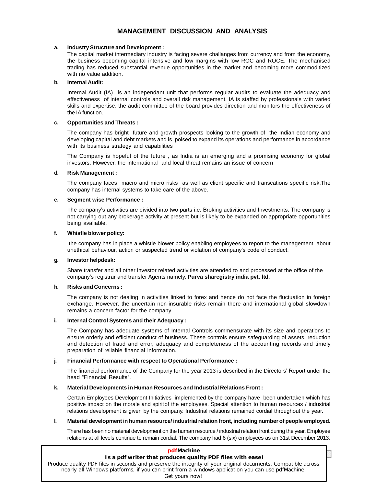#### **MANAGEMENT DISCUSSION AND ANALYSIS**

#### **a. IndustryStructure and Development :**

The capital market intermediary industry is facing severe challanges from currency and from the economy, the business becoming capital intensive and low margins with low ROC and ROCE. The mechanised trading has reduced substantial revenue opportunities in the market and becoming more commoditized with no value addition.

#### **b. Internal Audit:**

Internal Audit (IA) is an independant unit that performs regular audits to evaluate the adequacy and effectiveness of internal controls and overall risk management. IA is staffed by professionals with varied skills and expertise. the audit committee of the board provides direction and monitors the effectiveness of the IA function.

#### **c. Opportunities and Threats :**

The company has bright future and growth prospects looking to the growth of the Indian economy and developing capital and debt markets and is poised to expand its operations and performance in accordance with its business strategy and capabilities

The Company is hopeful of the future , as India is an emerging and a promising economy for global investors. However, the international and local threat remains an issue of concern

#### **d. Risk Management :**

The company faces macro and micro risks as well as client specific and transcations specific risk.The company has internal systems to take care of the above.

#### **e. Segment wise Performance :**

The company's activities are divided into two parts i.e. Broking activities and Investments. The company is not carrying out any brokerage activity at present but is likely to be expanded on appropriate opportunities being avaliable.

#### **f. Whistle blower policy:**

the company has in place a whistle blower policy enabling employees to report to the management about whistie blower policy:<br>the company has in place a whistle blower policy enabling employees to report to the manage<br>unethical behaviour, action or suspected trend or violation of company's code of conduct.

#### **g. Investor helpdesk:**

Share transfer and all other investor related activities are attended to and processed at the office of the **investor neipdesk:**<br>Share transfer and all other investor related activities are attended to and processed a<br>company's registrar and transfer Agents namely, **Purva sharegistry india pvt. Itd.** 

#### **h. Risks and Concerns :**

The company is not dealing in activities linked to forex and hence do not face the fluctuation in foreign exchange. However, the uncertain non-insurable risks remain there and international global slowdown remains a concern factor for the company.

#### **i. Internal Control Systems and their Adequacy :**

The Company has adequate systems of Internal Controls commensurate with its size and operations to ensure orderly and efficient conduct of business. These controls ensure safeguarding of assets, reduction and detection of fraud and error, adequacy and completeness of the accounting records and timely preparation of reliable financial information.

#### **j. Financial Performance with respect to Operational Performance :**

.<br>**Financial Performance with respect to Operational Performance :**<br>The financial performance of the Company for the year 2013 is described in the Directors' Report under the **Financial Performance with r**<br>The financial performance of th<br>head "Financial Results".

#### **k. Material Developments in Human Resources and Industrial Relations Front :**

Certain Employees Development Initiatives implemented by the company have been undertaken which has positive impact on the morale and spiritof the employees. Special attention to human resources / industrial relations development is given by the company. Industrial relations remained cordial throughout the year.

#### **l. Material development in human resource/ industrialrelation front, including number of people employed.**

There has been no material development on the human resource / industrial relation front during the year. Employee relations at all levels continue to remain cordial. The company had 6 (six) employees as on 31stDecember 2013.

| <b>pdfMachine</b>                                                                                                                                                                                                  |  |
|--------------------------------------------------------------------------------------------------------------------------------------------------------------------------------------------------------------------|--|
| Is a pdf writer that produces quality PDF files with ease!                                                                                                                                                         |  |
| Produce quality PDF files in seconds and preserve the integrity of your original documents. Compatible across<br>nearly all Windows platforms, if you can print from a windows application you can use pdfMachine. |  |
| Get yours now!                                                                                                                                                                                                     |  |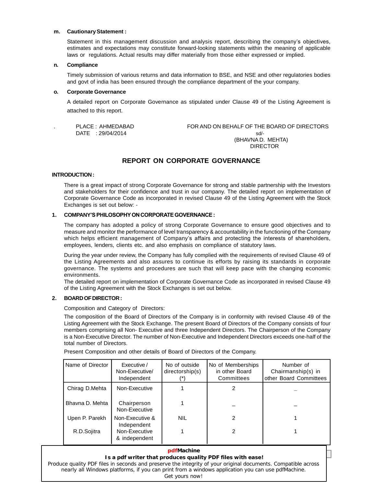#### **m. CautionaryStatement :**

Statement in this management discussion and analysis report, describing the company's objectives, estimates and expectations may constitute forward-looking statements within the meaning of applicable laws or regulations. Actual results may differ materially from those either expressed or implied.

#### **n. Compliance**

Timely submission of various returns and data information to BSE, and NSE and other regulatories bodies and govt of india has been ensured through the compliance department of the your company.

#### **o. Corporate Governance**

A detailed report on Corporate Governance as stipulated under Clause 49 of the Listing Agreement is attached to this report.

. PLACE : AHMEDABAD FOR AND ON BEHALF OF THE BOARD OF DIRECTORS  $DATE$  : 29/04/2014 sd/-(BHAVNA D. MEHTA) DIRECTOR

## **REPORT ON CORPORATE GOVERNANCE**

#### **INTRODUCTION:**

There is a great impact of strong Corporate Governance for strong and stable partnership with the Investors and stakeholders for their confidence and trust in our company. The detailed report on implementation of Corporate Governance Code as incorporated in revised Clause 49 of the Listing Agreement with the Stock Exchanges is set out below: -

#### **1. COMPANYíSPHILOSOPHYONCORPORATEGOVERNANCE:**

The company has adopted a policy of strong Corporate Governance to ensure good objectives and to measure and monitor the performance of level transparency & accountability in the functioning of the Company which helps efficient management of Company's affairs and protecting the interests of shareholders, employees, lenders, clients etc. and also emphasis on compliance of statutory laws.

During the year under review, the Company has fully complied with the requirements of revised Clause 49 of the Listing Agreements and also assures to continue its efforts by raising its standards in corporate governance. The systems and procedures are such that will keep pace with the changing economic environments.

The detailed report on implementation of Corporate Governance Code as incorporated in revised Clause 49 of the Listing Agreement with the Stock Exchanges is setout below.

#### **2. BOARDOFDIRECTOR:**

Composition and Category of Directors:

The composition of the Board of Directors of the Company is in conformity with revised Clause 49 of the Listing Agreement with the Stock Exchange. The present Board of Directors of the Company consists of four members comprising all Non- Executive and three Independent Directors. The Chairperson of the Company is a Non-Executive Director. The number of Non-Executive and Independent Directors exceeds one-half of the total number of Directors.

| Name of Director | Executive /<br>Non-Executive/<br>Independent | No of outside<br>directorship(s)<br>$(*)$ | No of Memberships<br>in other Board<br>Committees | Number of<br>Chairmanship(s) in<br>other Board Committees |
|------------------|----------------------------------------------|-------------------------------------------|---------------------------------------------------|-----------------------------------------------------------|
| Chirag D.Mehta   | Non-Executive                                |                                           |                                                   |                                                           |
| Bhayna D. Mehta  | Chairperson<br>Non-Executive                 |                                           |                                                   |                                                           |
| Upen P. Parekh   | Non-Executive &<br>Independent               | <b>NIL</b>                                | 2                                                 |                                                           |
| R.D.Sojitra      | Non-Executive<br>& independent               |                                           | 2                                                 |                                                           |

Present Composition and other details of Board of Directors of the Company.

#### **620** *P***armacrime<br>Is a pdf writer that produces quality PDF files with ease! pdfMachine**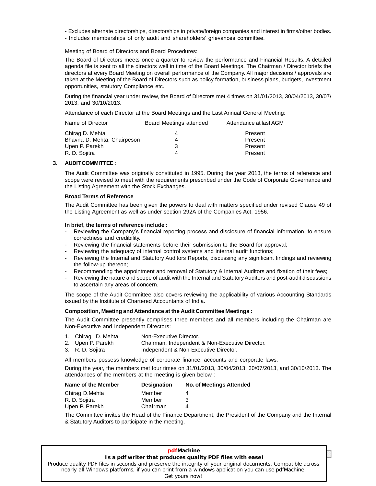- Excludes alternate directorships, directorships in private/foreign companies and interest in firms/other bodies.
- Includes memberships of only audit and shareholders' grievances committee.

Meeting of Board of Directors and Board Procedures:

The Board of Directors meets once a quarter to review the performance and Financial Results. A detailed agenda file is sent to all the directors wellin time of the Board Meetings. The Chairman / Director briefs the directors at every Board Meeting on overall performance of the Company. All major decisions / approvals are taken at the Meeting of the Board of Directors such as policy formation, business plans, budgets, investment opportunities, statutory Compliance etc.<br>During the financial year under review, the Board of Directors met 4 times on 31/01/2013, 30/04/2013, 30/07/

2013, and 30/10/2013.

Attendance of each Director at the Board Meetings and the Last Annual General Meeting:

| Name of Director            | Board Meetings attended | Attendance at last AGM |  |
|-----------------------------|-------------------------|------------------------|--|
| Chirag D. Mehta             |                         | Present                |  |
| Bhavna D. Mehta, Chairpeson |                         | Present                |  |
| Upen P. Parekh              |                         | Present                |  |
| R. D. Sojitra               |                         | Present                |  |

#### **3. AUDIT COMMITTEE:**

The Audit Committee was originally constituted in 1995. During the year 2013, the terms of reference and scope were revised to meet with the requirements prescribed under the Code of Corporate Governance and the Listing Agreement with the Stock Exchanges.

#### **Broad Terms of Reference**

The Audit Committee has been given the powers to deal with matters specified under revised Clause 49 of the Listing Agreement as well as under section 292A of the Companies Act, 1956.

#### **In brief, the terms of reference include :**

- Reviewing the Companyís financial reporting process and disclosure of financial information, to ensure correctness and credibility.
- Reviewing the financial statements before their submission to the Board for approval;
- Reviewing the adequacy of internal control systems and internal audit functions;
- Reviewing the Internal and Statutory Auditors Reports, discussing any significant findings and reviewing the follow-up thereon;
- Recommending the appointment and removal of Statutory & Internal Auditors and fixation of their fees;
- Reviewing the nature and scope of audit with the Internal and Statutory Auditors and post-audit discussions to ascertain any areas of concern.

The scope of the Audit Committee also covers reviewing the applicability of various Accounting Standards issued by the Institute of Chartered Accountants of India.

#### **Composition, Meeting and Attendance at the Audit Committee Meetings :**

The Audit Committee presently comprises three members and all members including the Chairman are Non-Executive and Independent Directors:

- 1. Chirag D. Mehta Non-Executive Director.
- 2. Upen P. Parekh Chairman, Independent & Non-Executive Director.
- 3. R. D. Sojitra **Independent & Non-Executive Director.**

All members possess knowledge of corporate finance, accounts and corporate laws.

During the year, the members met four times on 31/01/2013, 30/04/2013, 30/07/2013, and 30/10/2013. The attendances of the members at the meeting is given below :

| Name of the Member | <b>Designation</b> | No. of Meetings Attended |
|--------------------|--------------------|--------------------------|
| Chirag D.Mehta     | Member             |                          |
| R. D. Sojitra      | Member             | з                        |
| Upen P. Parekh     | Chairman           | Δ                        |

The Committee invites the Head of the Finance Department, the President of the Company and the Internal & Statutory Auditors to participate in the meeting.

#### **The matrice of the produces of the produces of the set of the set of the set of the set of the set of the set o**<br>Is a pdf writer that produces quality PDF files with ease! **pdfMachine**  [Produce quality PDF files in seconds and preserve the integrity of your original documents. Compatible across](http://www.pdfmachine.com?cl)  nearly all Windows platforms, if you can print from a windows application you can use pdfMachine. Get yours now!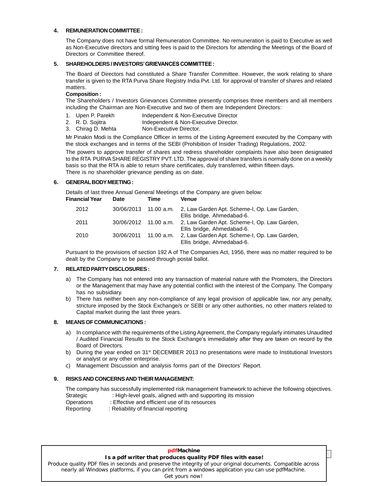#### **4. REMUNERATION COMMITTEE:**

The Company does not have formal Remuneration Committee. No remuneration is paid to Executive as well as Non-Executive directors and sitting fees is paid to the Directors for attending the Meetings of the Board of Directors or Committee thereof.

#### **5. SHAREHOLDERS/ INVESTORSíGRIEVANCES COMMITTEE:**

The Board of Directors had constituted a Share Transfer Committee. However, the work relating to share transfer is given to the RTA Purva Share Registry India Pvt. Ltd. for approval of transfer of shares and related matters.

#### **Composition :**

The Shareholders / Investors Grievances Committee presently comprises three members and all members including the Chairman are Non-Executive and two of them are Independent Directors:

- 1. Upen P. Parekh Independent & Non-Executive Director
- 2. R. D. Sojitra **Independent & Non-Executive Director.**
- 3. Chirag D. Mehta Non-Executive Director.

Mr Pinakin Modi is the Compliance Officer in terms of the Listing Agreement executed by the Company with the stock exchanges and in terms of the SEBI (Prohibition of Insider Trading) Regulations, 2002.

The powers to approve transfer of shares and redress shareholder complaints have also been designated to the RTA PURVA SHARE REGISTRY PVT. LTD. The approval of share transfers is normally done on a weekly basis so that the RTA is able to return share certificates, duly transferred, within fifteen days. There is no shareholder grievance pending as on date.

#### **6. GENERALBODYMEETING:**

Details of last three Annual General Meetings of the Company are given below:<br>Financial Year Date Time Venue  $Financial *Year*$ 

| anviai real | ----                  | .          | 1511 UC                                                                                          |
|-------------|-----------------------|------------|--------------------------------------------------------------------------------------------------|
| 2012        |                       |            | 30/06/2013 11.00 a.m. 2, Law Garden Apt. Scheme-I, Op. Law Garden,<br>Ellis bridge, Ahmedabad-6. |
| 2011        | 30/06/2012 11.00 a.m. |            | 2, Law Garden Apt. Scheme-I, Op. Law Garden,<br>Ellis bridge, Ahmedabad-6.                       |
| 2010        | 30/06/2011            | 11.00 a.m. | 2, Law Garden Apt. Scheme-I, Op. Law Garden,<br>Ellis bridge, Ahmedabad-6.                       |

Pursuant to the provisions of section 192 A of The Companies Act, 1956, there was no matter required to be dealt by the Company to be passed through postal ballot.

#### **7. RELATEDPARTYDISCLOSURES:**

- a) The Company has not entered into any transaction of material nature with the Promoters, the Directors or the Management that may have any potential conflict with the interest of the Company. The Company has no subsidiary.
- b) There has neither been any non-compliance of any legal provision of applicable law, nor any penalty, stricture imposed by the Stock Exchange/s or SEBI or any other authorities, no other matters related to Capital market during the last three years.

#### **8. MEANSOF COMMUNICATIONS:**

- a) In compliance with the requirements of the Listing Agreement, the Company regularly intimates Unaudited **INS OF COMMUNICATIONS :**<br>In compliance with the requirements of the Listing Agreement, the Company regularly intimates Unaudited<br>/ Audited Financial Results to the Stock Exchange's immediately after they are taken on rec Board of Directors.
- b) During the year ended on 31<sup>st</sup> DECEMBER 2013 no presentations were made to Institutional Investors or analyst or any other enterprise.<br>c) Management Discussion and analysis forms part of the Directors' Report. or analyst or any other enterprise.
- 

#### **9. RISKSAND CONCERNSAND THEIR MANAGEMENT:**

The company has successfully implemented risk management framework to achieve the following objectives. Strategic : High-level goals, aligned with and supporting its mission

- Operations : Effective and efficient use of its resources
- Reporting : Reliability of financial reporting

#### **pdfMachine**

## **8 Annual Lie**<br>**Is a pdf writer that produces quality PDF files with ease!**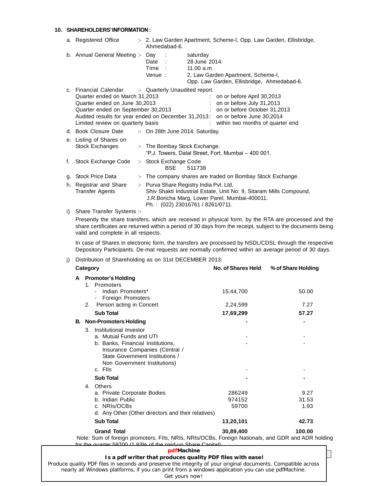#### **10. SHAREHOLDERS'INFORMATION:**

|    | a. Registered Office                                                                                                                                                | :- 2, Law Garden Apartment, Scheme-I, Opp. Law Garden, Ellisbridge,<br>Ahmedabad-6.                                                                                                                                                                |
|----|---------------------------------------------------------------------------------------------------------------------------------------------------------------------|----------------------------------------------------------------------------------------------------------------------------------------------------------------------------------------------------------------------------------------------------|
|    | b. Annual General Meeting :- Day                                                                                                                                    | $\sim$ 1<br>saturday<br>28 June 2014.<br>Date :<br>Time :<br>11.00 a.m.<br>Venue:<br>2, Law Garden Apartment, Scheme-I,<br>Opp. Law Garden, Ellisbridge, Ahmedabad-6.                                                                              |
|    | c. Financial Calendar<br>Quarter ended on March 31,2013<br>Quarter ended on June 30,2013<br>Quarter ended on September 30,2013<br>Limited review on quarterly basis | :- Quarterly Unaudited report.<br>on or before April 30,2013<br>on or before July 31,2013<br>: on or before October 31,2013<br>Audited results for year ended on December 31,2013: on or before June 30,2014<br>: within two months of quarter end |
|    | d. Book Closure Date                                                                                                                                                | :- On 28th June 2014. Saturday.                                                                                                                                                                                                                    |
|    | e. Listing of Shares on<br>Stock Exchanges                                                                                                                          | :- The Bombay Stock Exchange.<br>"P.J. Towers, Dalal Street, Fort, Mumbai - 400 001.                                                                                                                                                               |
| f. | Stock Exchange Code                                                                                                                                                 | :- Stock Exchange Code<br><b>BSE</b><br>511738                                                                                                                                                                                                     |
|    | g. Stock Price Data                                                                                                                                                 | :- The company shares are traded on Bombay Stock Exchange.                                                                                                                                                                                         |
|    | h. Registrar and Share<br><b>Transfer Agents</b>                                                                                                                    | :- Purva Share Registry India Pvt. Ltd.<br>Shiv Shakti Industrial Estate, Unit No: 9, Sitaram Mills Compound,<br>J.R. Boricha Marg, Lower Parel, Mumbai-400011.<br>Ph.: (022) 23016761 / 8261/0711.                                                |
| i) | Share Transfer Systems :-                                                                                                                                           |                                                                                                                                                                                                                                                    |
|    |                                                                                                                                                                     | Presently the share transfers, which are received in physical form, by the RTA are processed and t                                                                                                                                                 |

Presently the share transfers, which are received in physical form, by the RTA are processed and the share certificates are returned within a period of 30 days from the receipt, subject to the documents being valid and complete in all respects.

In case of Shares in electronic form, the transfers are processed by NSDL/CDSL through the respective Depository Participants. De-mat requests are normally confirmed within an average period of 30 days.

|   | Category |                                                                                                                                                                                                        | No. of Shares Held        | % of Share Holding    |
|---|----------|--------------------------------------------------------------------------------------------------------------------------------------------------------------------------------------------------------|---------------------------|-----------------------|
| A |          | <b>Promoter's Holding</b><br>1. Promoters                                                                                                                                                              |                           |                       |
|   |          | Indian Promoters*<br>- Foreign Promoters                                                                                                                                                               | 15,44,700                 | 50.00                 |
|   |          | 2. Person acting in Concert                                                                                                                                                                            | 2,24,599                  | 7.27                  |
|   |          | <b>Sub Total</b>                                                                                                                                                                                       | 17,69,299                 | 57.27                 |
|   |          | <b>B.</b> Non-Promoters Holding                                                                                                                                                                        |                           |                       |
|   | 3.       | Institutional Investor<br>a. Mutual Funds and UTI<br>b. Banks, Financial Institutions,<br>Insurance Companies (Central /<br>State Government Institutions /<br>Non Government Institutions)<br>c. Flls |                           |                       |
|   |          | <b>Sub Total</b>                                                                                                                                                                                       |                           |                       |
|   | 4.       | Others<br>a. Private Corporate Bodies<br>b. Indian Public<br>c. NRIs/OCBs<br>d. Any Other (Other directors and their relatives)                                                                        | 286249<br>974152<br>59700 | 9.27<br>31.53<br>1.93 |
|   |          | <b>Sub Total</b>                                                                                                                                                                                       | 13,20,101                 | 42.73                 |
|   |          | <b>Grand Total</b>                                                                                                                                                                                     | 30,89,400                 | 100.00                |

Note: Sum of foreign promoters, FIIs, NRIs, NRIs/OCBs, Foreign Nationals, and GDR and ADR holding for the quarter 59700 (1.93% of the paid-up Share Capital).

#### **pdfMachine**

## **9 Annual Lie**<br>**Is a pdf writer that produces quality PDF files with ease!**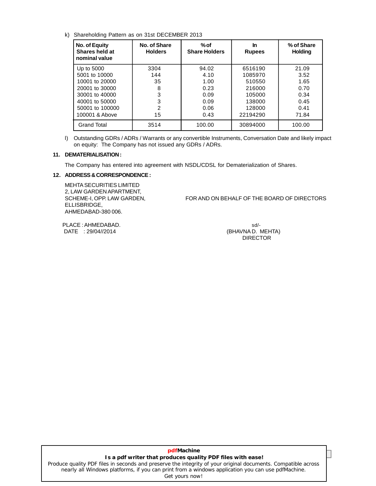#### k) Shareholding Pattern as on 31st DECEMBER 2013

| No. of Equity<br>Shares held at<br>nominal value | No. of Share<br><b>Holders</b> | $%$ of<br><b>Share Holders</b> | In<br><b>Rupees</b> | % of Share<br><b>Holding</b> |
|--------------------------------------------------|--------------------------------|--------------------------------|---------------------|------------------------------|
| Up to 5000                                       | 3304                           | 94.02                          | 6516190             | 21.09                        |
| 5001 to 10000                                    | 144                            | 4.10                           | 1085970             | 3.52                         |
| 10001 to 20000                                   | 35                             | 1.00                           | 510550              | 1.65                         |
| 20001 to 30000                                   | 8                              | 0.23                           | 216000              | 0.70                         |
| 30001 to 40000                                   | 3                              | 0.09                           | 105000              | 0.34                         |
| 40001 to 50000                                   | 3                              | 0.09                           | 138000              | 0.45                         |
| 50001 to 100000                                  | 2                              | 0.06                           | 128000              | 0.41                         |
| 100001 & Above                                   | 15                             | 0.43                           | 22194290            | 71.84                        |
| <b>Grand Total</b>                               | 3514                           | 100.00                         | 30894000            | 100.00                       |

l) Outstanding GDRs / ADRs / Warrants or any convertible Instruments, Conversation Date and likely impact on equity: The Company has not issued any GDRs / ADRs.

#### **11. DEMATERIALISATION:**

The Company has entered into agreement with NSDL/CDSL for Dematerialization of Shares.

#### **12. ADDRESS &CORRESPONDENCE:**

MEHTASECURITIES LIMITED 2, LAW GARDEN APARTMENT, ELLISBRIDGE, AHMEDABAD-380 006.

SCHEME-I, OPP. LAW GARDEN, FOR AND ON BEHALF OF THE BOARD OF DIRECTORS

PLACE : AHMEDABAD. sd/-DATE : 29/04//2014 **(BHAVNA D. MEHTA)** 

DIRECTOR

## **10 Annual Report : 2013 Is a pdf writer that produces quality PDF files with ease! pdfMachine**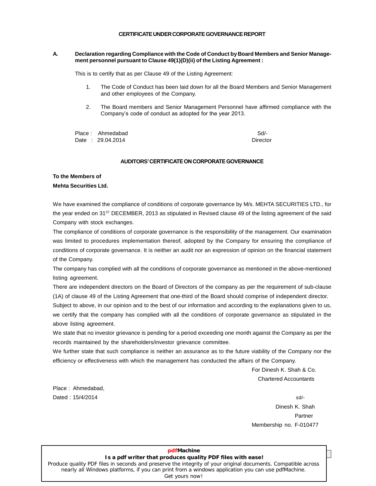#### CERTIFICATE UNDER CORPORATE GOVERNANCE REPORT

#### **A. Declaration regarding Compliance with the Code of Conduct by Board Members and Senior Manage ment personnel pursuant to Clause 49(1)(D)(ii) of the Listing Agreement :**

This is to certify that as per Clause 49 of the Listing Agreement:

- 1. The Code of Conduct has been laid down for all the Board Members and Senior Management and other employees of the Company.
- 2. The Board members and Senior Management Personnel have affirmed compliance with the The Board members and Senior Management Personnel have<br>Company's code of conduct as adopted for the year 2013.

Place : Ahmedabad Sd/-Date : 29.04.2014 Director

#### **AUDITORS' CERTIFICATE ON CORPORATE GOVERNANCE**

## **To the Members of**

#### **Mehta Securities Ltd.**

We have examined the compliance of conditions of corporate governance by M/s. MEHTA SECURITIES LTD., for the year ended on 31<sup>sт</sup> DECEMBER, 2013 as stipulated in Revised clause 49 of the listing agreement of the said Company with stock exchanges.

The compliance of conditions of corporate governance is the responsibility of the management. Our examination was limited to procedures implementation thereof, adopted by the Company for ensuring the compliance of conditions of corporate governance. It is neither an audit nor an expression of opinion on the financial statement of the Company.

The company has complied with all the conditions of corporate governance as mentioned in the above-mentioned listing agreement.

There are independent directors on the Board of Directors of the company as per the requirement of sub-clause (1A) of clause 49 of the Listing Agreement that one-third of the Board should comprise of independent director.

Subject to above, in our opinion and to the best of our information and according to the explanations given to us, we certify that the company has complied with all the conditions of corporate governance as stipulated in the above listing agreement.

We state that no investor grievance is pending for a period exceeding one month against the Company as per the records maintained by the shareholders/investor grievance committee.

We further state that such compliance is neither an assurance as to the future viability of the Company nor the efficiency or effectiveness with which the management has conducted the affairs of the Company.

> For Dinesh K. Shah & Co. Chartered Accountants

Place : Ahmedabad,  $\Delta$ Dated :  $15/4/2014$  sd/-

Dinesh K. Shah **Partner** Membership no. F-010477

#### **Is a pdf writer that produces quality PDF files with ease! pdfMachine**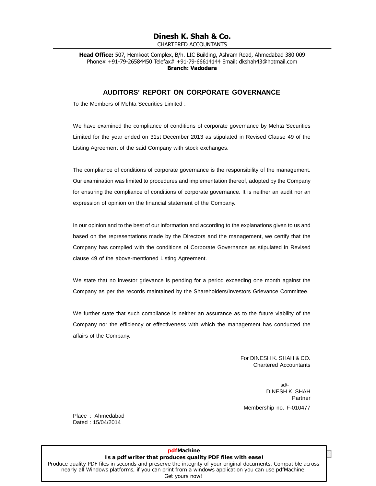## **Dinesh K. Shah & Co.**

CHARTERED ACCOUNTANTS

**Head Office:** 507, Hemkoot Complex, B/h. LIC Building, Ashram Road, Ahmedabad 380 009 Phone# +91-79-26584450 Telefax# +91-79-66614144 Email: dkshah43@hotmail.com **Branch: Vadodara**

#### **AUDITORS<sup>í</sup> REPORT ON CORPORATE GOVERNANCE**

To the Members of Mehta Securities Limited :

We have examined the compliance of conditions of corporate governance by Mehta Securities Limited for the year ended on 31st December 2013 as stipulated in Revised Clause 49 of the Listing Agreement of the said Company with stock exchanges.

The compliance of conditions of corporate governance is the responsibility of the management. Our examination was limited to procedures and implementation thereof, adopted by the Company for ensuring the compliance of conditions of corporate governance. It is neither an audit nor an expression of opinion on the financial statement of the Company.

In our opinion and to the best of our information and according to the explanations given to us and based on the representations made by the Directors and the management, we certify that the Company has complied with the conditions of Corporate Governance as stipulated in Revised clause 49 of the above-mentioned Listing Agreement.

We state that no investor grievance is pending for a period exceeding one month against the Company as per the records maintained by the Shareholders/Investors Grievance Committee.

We further state that such compliance is neither an assurance as to the future viability of the Company nor the efficiency or effectiveness with which the management has conducted the affairs of the Company.

> For DINESH K. SHAH & CO. Chartered Accountants

sd/- DINESH K. SHAH Partner Membership no. F-010477

Place : Ahmedabad Dated : 15/04/2014

## **12 And Structure**<br>**Is a pdf writer that produces quality PDF files with ease! pdfMachine**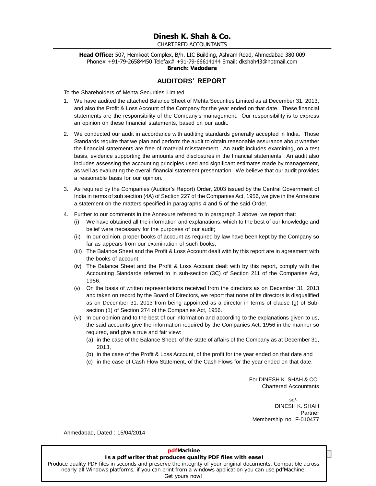## **Dinesh K. Shah & Co.**

CHARTERED ACCOUNTANTS

**Head Office:** 507, Hemkoot Complex, B/h. LIC Building, Ashram Road, Ahmedabad 380 009 Phone# +91-79-26584450 Telefax# +91-79-66614144 Email: dkshah43@hotmail.com **Branch: Vadodara**

#### **AUDITORS<sup>í</sup> REPORT**

To the Shareholders of Mehta Securities Limited

- 1. We have audited the attached Balance Sheet of Mehta Securities Limited as at December 31, 2013, and also the Profit & Loss Account of the Company for the year ended on that date. These financial statements are the respo and also the Profit & Loss Account of the Company for the year ended on that date. These financial an opinion on these financial statements, based on our audit.
- 2. We conducted our audit in accordance with auditing standards generally accepted in India. Those Standards require that we plan and perform the audit to obtain reasonable assurance about whether the financial statements are free of material misstatement. An audit includes examining, on a test basis, evidence supporting the amounts and disclosures in the financial statements. An audit also includes assessing the accounting principles used and significant estimates made by management, as well as evaluating the overall financial statement presentation. We believe that our audit provides a reasonable basis for our opinion.
- 3. As required by the Companies (Auditorís Report) Order, <sup>2003</sup> issued by the Central Government of India in terms of sub section (4A) of Section 227 of the Companies Act, 1956, we give in the Annexure a statement on the matters specified in paragraphs 4 and 5 ofthe said Order.
- 4. Further to our comments in the Annexure referred to in paragraph 3 above, we report that:
	- (i) We have obtained all the information and explanations, which to the best of our knowledge and belief were necessary for the purposes of our audit;
	- (ii) In our opinion, proper books of account as required by law have been kept by the Company so far as appears from our examination of such books;
	- (iii) The Balance Sheet and the Profit & Loss Account dealt with by this report are in agreement with the books of account;
	- (iv) The Balance Sheet and the Profit & Loss Account dealt with by this report, comply with the Accounting Standards referred to in sub-section (3C) of Section 211 of the Companies Act, 1956;
	- (v) On the basis of written representations received from the directors as on December 31, 2013 and taken on record by the Board of Directors, we report that none of its directors is disqualified as on December 31, 2013 from being appointed as a director in terms of clause (g) of Sub section (1) of Section 274 of the Companies Act, 1956.
	- (vi) In our opinion and to the best of our information and according to the explanations given to us, the said accounts give the information required by the Companies Act, 1956 in the manner so required, and give a true and fair view:
		- (a) in the case of the Balance Sheet, of the state of affairs of the Company as at December 31, 2013,
		- (b) in the case of the Profit & Loss Account, of the profit for the year ended on that date and
		- (c) in the case of Cash Flow Statement, of the Cash Flows for the year ended on thatdate.

For DINESH K. SHAH & CO. Chartered Accountants

sd/- DINESH K. SHAH Partner Membership no. F-010477

Ahmedabad, Dated : 15/04/2014

## **pdfMachine**

## **13 And Structure Reports Separate Boards i** Report<br>Is a pdf writer that produces quality PDF files with ease!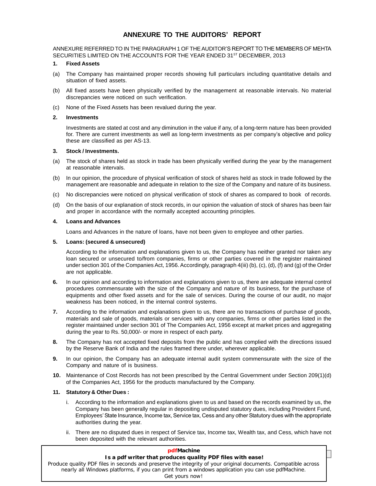## **ANNEXURE TO THE AUDITORS<sup>í</sup> REPORT**

ANNEXURE REFERRED TO IN THE PARAGRAPH 1 OF THE AUDITOR'S REPORT TO THE MEMBERS OF MEHTA SECURITIES LIMITED ON THE ACCOUNTS FOR THE YEAR ENDED 31 ST DECEMBER, 2013

#### **1. Fixed Assets**

- (a) The Company has maintained proper records showing full particulars including quantitative details and situation of fixed assets.
- (b) All fixed assets have been physically verified by the management at reasonable intervals. No material discrepancies were noticed on such verification.
- (c) None of the Fixed Assets has been revalued during the year.

#### **2. Investments**

Investments are stated at cost and any diminution in the value if any, of a long-term nature has been provided for. There are current investments as wellas long-term investments as per companyís objective and policy these are classified as per AS-13.

#### **3. Stock / Investments.**

- (a) The stock of shares held as stock in trade has been physically verified during the year by the management at reasonable intervals.
- (b) In our opinion, the procedure of physical verification of stock of shares held as stock in trade followed by the management are reasonable and adequate in relation to the size of the Company and nature of its business.
- (c) No discrepancies were noticed on physical verification of stock of shares as compared to book of records.
- (d) On the basis of our explanation of stock records, in ouropinion the valuation of stock of shares has been fair and proper in accordance with the normally accepted accounting principles.

#### **4. Loans and Advances**

Loans and Advances in the nature of loans, have not been given to employee and other parties.

#### **5. Loans: (secured & unsecured)**

According to the information and explanations given to us, the Company has neither granted nor taken any loan secured or unsecured to/from companies, firms or other parties covered in the register maintained under section 301 of the Companies Act, 1956. Accordingly, paragraph 4(iii) (b), (c), (d), (f) and (g) of the Order are not applicable.

- **6.** In our opinion and according to information and explanations given to us, there are adequate internal control procedures commensurate with the size of the Company and nature of its business, for the purchase of equipments and other fixed assets and for the sale of services. During the course of our audit, no major weakness has been noticed, in the internal control systems.
- **7.** According to the information and explanations given to us, there are no transactions of purchase of goods, materials and sale of goods, materials or services with any companies, firms or other parties listed in the register maintained under section 301 of The Companies Act, 1956 except at market prices and aggregating during the year to Rs. 50,000/- or more in respect of each party.
- **8.** The Company has not accepted fixed deposits from the public and has complied with the directions issued by the Reserve Bank of India and the rules framed there under, wherever applicable.
- **9.** In our opinion, the Company has an adequate internal audit system commensurate with the size of the Company and nature of is business.
- **10.** Maintenance of Cost Records has not been prescribed by the Central Government under Section 209(1)(d) of the Companies Act, 1956 for the products manufactured by the Company.

#### **11. Statutory & Other Dues :**

- i. According to the information and explanations given to us and based on the records examined by us, the Company has been generally regular in depositing undisputed statutory dues, including Provident Fund, Employees' State Insurance, Income tax, Service tax, Cess and any other Statutory dues with the appropriate authorities during the year.
- ii. There are no disputed dues in respect of Service tax, Income tax, Wealth tax, and Cess, which have not been deposited with the relevant authorities.

| <b>pdfMachine</b>                                                                                                                                                                                                                    |  |
|--------------------------------------------------------------------------------------------------------------------------------------------------------------------------------------------------------------------------------------|--|
| Is a pdf writer that produces quality PDF files with ease!                                                                                                                                                                           |  |
| Produce quality PDF files in seconds and preserve the integrity of your original documents. Compatible across<br>nearly all Windows platforms, if you can print from a windows application you can use pdfMachine.<br>Get yours now! |  |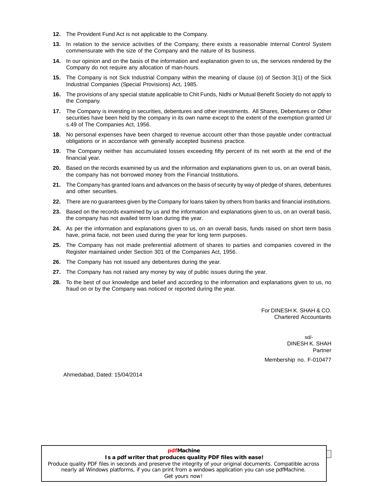- 12. The Provident Fund Act is not applicable to the Company.
- **13.** In relation to the service activities of the Company, there exists a reasonable Internal Control System commensurate with the size of the Company and the nature of its business.
- **14.** In our opinion and on the basis of the information and explanation given to us, the services rendered by the Company do not require any allocation of man-hours.
- **15.** The Company is not Sick Industrial Company within the meaning of clause (o) of Section 3(1) of the Sick Industrial Companies (Special Provisions) Act, 1985.
- **16.** The provisions of any special statute applicable to Chit Funds, Nidhi or Mutual Benefit Society do not apply to the Company.
- **17.** The Company is investing in securities, debentures and other investments. All Shares, Debentures or Other securities have been held by the company in its own name except to the extent of the exemption granted U/ s.49 of The Companies Act, 1956.
- **18.** No personal expenses have been charged to revenue account other than those payable under contractual obligations or in accordance with generally accepted business practice.
- **19.** The Company neither has accumulated losses exceeding fifty percent of its net worth at the end of the financial year.
- **20.** Based on the records examined by us and the information and explanations given to us, on an overall basis, the company has not borrowed money from the Financial Institutions.
- **21.** The Company has granted loans and advances on the basis of security by way of pledge of shares, debentures and other securities.
- **22.** There are no guarantees given by the Company for loans taken by others from banks and financial institutions.
- **23.** Based on the records examined by us and the information and explanations given to us, on an overall basis, the company has not availed term loan during the year.
- **24.** As per the information and explanations given to us, on an overall basis, funds raised on short term basis have, prima facie, not been used during the year for long term purposes.
- **25.** The Company has not made preferential allotment of shares to parties and companies covered in the Register maintained under Section 301 of the Companies Act, 1956.
- **26.** The Company has not issued any debentures during the year.
- **27.** The Company has not raised any money by way of public issues during the year.
- **28.** To the best of our knowledge and belief and according to the information and explanations given to us, no fraud on or by the Company was noticed or reported during the year.

For DINESH K. SHAH & CO. Chartered Accountants

sd/- DINESH K. SHAH Partner Membership no. F-010477

Ahmedabad, Dated: 15/04/2014

#### **15 Annual Limitary Burnall Conservant Conservant Burnal E**<br>**Is a pdf writer that produces quality PDF files with ease! pdfMachine**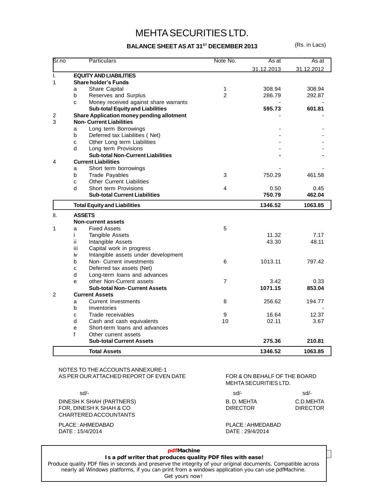## MEHTASECURITIES LTD.

#### **BALANCE SHEET AS AT 31 ST DECEMBER 2013** (Rs. in Lacs)

| Sr.no          |     | Particulars                                      | Note No.       | As at      | As at      |
|----------------|-----|--------------------------------------------------|----------------|------------|------------|
|                |     |                                                  |                | 31.12.2013 | 31.12.2012 |
| I.             |     | <b>EQUITY AND LIABILITIES</b>                    |                |            |            |
| 1              |     | <b>Share holder's Funds</b>                      |                |            |            |
|                | a   | Share Capital                                    | 1              | 308.94     | 308.94     |
|                | b   | Reserves and Surplus                             | $\overline{2}$ | 286.79     | 292.87     |
|                | C   | Money received against share warrants            |                |            |            |
|                |     | <b>Sub-total Equity and Liabilities</b>          |                | 595.73     | 601.81     |
| $\overline{2}$ |     | <b>Share Application money pending allotment</b> |                |            |            |
| 3              |     | <b>Non- Current Liabilities</b>                  |                |            |            |
|                | a   | Long term Borrowings                             |                |            |            |
|                | b   | Deferred tax Liabilities (Net)                   |                |            |            |
|                | C   | Other Long term Liabilities                      |                |            |            |
|                | d   | Long term Provisions                             |                |            |            |
|                |     | <b>Sub-total Non-Current Liabilities</b>         |                |            |            |
| 4              |     | <b>Current Liabilities</b>                       |                |            |            |
|                | a   | Short term borrowings                            |                |            |            |
|                | b   | <b>Trade Payables</b>                            | 3              | 750.29     | 461.58     |
|                | C   | <b>Other Current Liabilities</b>                 |                |            |            |
|                | d   | Short term Provisions                            | 4              | 0.50       | 0.45       |
|                |     | <b>Sub-total Current Liabilities</b>             |                | 750.79     | 462.04     |
|                |     | <b>Total Equity and Liabilities</b>              |                | 1346.52    | 1063.85    |
| II.            |     | <b>ASSETS</b>                                    |                |            |            |
|                |     | <b>Non-current assets</b>                        |                |            |            |
| 1              | a   | <b>Fixed Assets</b>                              | 5              |            |            |
|                | i.  | Tangible Assets                                  |                | 11.32      | 7.17       |
|                | ii. | Intangible Assets                                |                | 43.30      | 48.11      |
|                | iii | Capital work in progress                         |                |            |            |
|                | iv  | Intangible assets under development              |                |            |            |
|                | b   | Non- Current investments                         | 6              | 1013.11    | 797.42     |
|                | C   | Deferred tax assets (Net)                        |                |            |            |
|                | d   | Long-term loans and advances                     |                |            |            |
|                | e   | other Non-Current assets                         | $\overline{7}$ | 3.42       | 0.33       |
|                |     | <b>Sub-total Non-Current Assets</b>              |                | 1071.15    | 853.04     |
| $\mathfrak{p}$ |     | <b>Current Assets</b>                            |                |            |            |
|                | a   | <b>Current Investments</b>                       | 8              | 256.62     | 194.77     |
|                | b   | Inventories                                      |                |            |            |
|                | C   | Trade receivables                                | 9              | 16.64      | 12.37      |
|                | d   | Cash and cash equivalents                        | 10             | 02.11      | 3.67       |
|                | e   | Short-term loans and advances                    |                |            |            |
|                | f   | Other current assets                             |                |            |            |
|                |     | <b>Sub-total Current Assets</b>                  |                | 275.36     | 210.81     |
|                |     | <b>Total Assets</b>                              |                | 1346.52    | 1063.85    |

#### NOTES TO THE ACCOUNTS ANNEXURE-1 AS PER OUR ATTACHED REPORT OF EVEN DATE FOR & ON BEHALF OF THE BOARD

DINESH K SHAH (PARTNERS) FOR, DINESH K SHAH & CO CHARTERED ACCOUNTANTS

DATE : 15/4/2014 DATE : 29/4/2014

## MEHTASECURITIES LTD.

| sd/-      | sd/-                         |
|-----------|------------------------------|
| B.D.MEHTA | C.D.MEHTA<br><b>DIRECTOR</b> |
|           |                              |
|           | <b>DIRECTOR</b>              |

PLACE : AHMEDABAD PLACE : AHMEDABAD

#### **pdfMachine**

## **16 Annual Lime**<br>**Is a pdf writer that produces quality PDF files with ease!**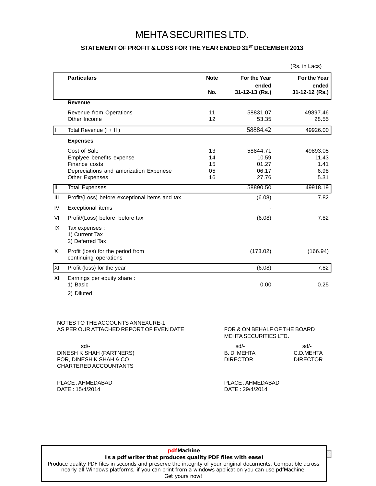## MEHTASECURITIES LTD.

#### **STATEMENT OF PROFIT & LOSS FOR THE YEAR ENDED 31 ST DECEMBER 2013**

|                                                                  |             |                       | (Rs. in Lacs)         |
|------------------------------------------------------------------|-------------|-----------------------|-----------------------|
| <b>Particulars</b>                                               | <b>Note</b> | For the Year<br>ended | For the Year<br>ended |
|                                                                  | No.         | 31-12-13 (Rs.)        | 31-12-12 (Rs.)        |
| <b>Revenue</b>                                                   |             |                       |                       |
| Revenue from Operations                                          | 11          | 58831.07              | 49897.46              |
| Other Income                                                     | 12          | 53.35                 | 28.55                 |
| Total Revenue (I + II)                                           |             | 58884.42              | 49926.00              |
| <b>Expenses</b>                                                  |             |                       |                       |
| Cost of Sale                                                     | 13          | 58844.71              | 49893.05              |
| Emplyee benefits expense                                         | 14          | 10.59                 | 11.43                 |
| Finance costs                                                    | 15          | 01.27                 | 1.41                  |
| Depreciations and amorization Expenese                           | 05          | 06.17                 | 6.98                  |
| Other Expenses                                                   | 16          | 27.76                 | 5.31                  |
| ℼ<br><b>Total Expenses</b>                                       |             | 58890.50              | 49918.19              |
| III<br>Profit/(Loss) before exceptional items and tax            |             | (6.08)                | 7.82                  |
| Exceptional items<br>IV                                          |             |                       |                       |
| Profit/(Loss) before before tax<br>VI                            |             | (6.08)                | 7.82                  |
| IX<br>Tax expenses :<br>1) Current Tax<br>2) Deferred Tax        |             |                       |                       |
| Profit (loss) for the period from<br>X.<br>continuing operations |             | (173.02)              | (166.94)              |
| lxı<br>Profit (loss) for the year                                |             | (6.08)                | 7.82                  |
| XII<br>Earnings per equity share:<br>1) Basic                    |             | 0.00                  | 0.25                  |
| 2) Diluted                                                       |             |                       |                       |
|                                                                  |             |                       |                       |

#### NOTES TO THE ACCOUNTS ANNEXURE-1 AS PER OUR ATTACHED REPORT OF EVEN DATE FOR & ON BEHALF OF THE BOARD

| sd/-            | $sd/$ -         |
|-----------------|-----------------|
| B.D. MEHTA      | C.D.MEHTA       |
| <b>DIRECTOR</b> | <b>DIRECTOR</b> |
|                 |                 |
|                 |                 |

#### PLACE :AHMEDABAD PLACE :AHMEDABAD DATE: 29/4/2014

MEHTASECURITIES LTD**.**

#### **17 Annual Lime**<br>**Is a pdf writer that produces quality PDF files with ease! pdfMachine**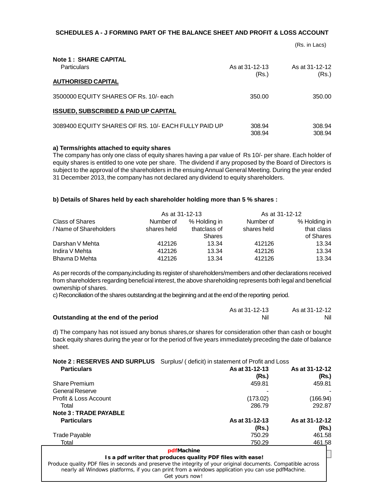#### **SCHEDULES A - J FORMING PART OF THE BALANCE SHEET AND PROFIT & LOSS ACCOUNT**

(Rs. in Lacs)

| <b>Note 1: SHARE CAPITAL</b>                         |                |                |  |
|------------------------------------------------------|----------------|----------------|--|
| <b>Particulars</b>                                   | As at 31-12-13 | As at 31-12-12 |  |
|                                                      | (Rs.)          | (Rs.)          |  |
| <b>AUTHORISED CAPITAL</b>                            |                |                |  |
| 3500000 EQUITY SHARES OF Rs. 10/- each               | 350.00         | 350.00         |  |
| <b>ISSUED, SUBSCRIBED &amp; PAID UP CAPITAL</b>      |                |                |  |
| 3089400 EQUITY SHARES OF RS. 10/- EACH FULLY PAID UP | 308.94         | 308.94         |  |
|                                                      | 308.94         | 308.94         |  |

#### **a) Terms/rights attached to equity shares**

The company has only one class of equity shares having a parvalue of Rs 10/- per share. Each holder of equity shares is entitled to one vote pershare. The dividend if any proposed by the Board of Directors is subject to the approval of the shareholders in the ensuing Annual General Meeting. During the year ended 31 December 2013, the company has not declared any dividend to equity shareholders.

#### **b) Details of Shares held by each shareholder holding more than 5 % shares :**

|                        | As at 31-12-13 |               | As at 31-12-12 |              |
|------------------------|----------------|---------------|----------------|--------------|
| Class of Shares        | Number of      | % Holding in  | Number of      | % Holding in |
| / Name of Shareholders | shares held    | thatclass of  | shares held    | that class   |
|                        |                | <b>Shares</b> |                | of Shares    |
| Darshan V Mehta        | 412126         | 13.34         | 412126         | 13.34        |
| Indira V Mehta         | 412126         | 13.34         | 412126         | 13.34        |
| Bhavna D Mehta         | 412126         | 13.34         | 412126         | 13.34        |

As per records of the company,including its register of shareholders/members and other declarations received from shareholders regarding beneficial interest, the above shareholding represents both legal and beneficial ownership of shares.

c) Reconciliation of the shares outstanding at the beginning and at the end of the reporting period.

|                                      | As at 31-12-13 | As at 31-12-12 |  |
|--------------------------------------|----------------|----------------|--|
| Outstanding at the end of the period | Nil            | Nil            |  |

d) The company has notissued any bonus shares,or shares for consideration other than cash or bought back equity shares during the year or for the period of five years immediately preceding the date of balance sheet.

**Note 2 : RESERVES AND SURPLUS** Surplus/ ( deficit) in statement of Profit and Loss

| <b>Particulars</b>                                                                                                                                                                                                 | As at 31-12-13<br>(Rs.)                                    | As at 31-12-12<br>(Rs.) |
|--------------------------------------------------------------------------------------------------------------------------------------------------------------------------------------------------------------------|------------------------------------------------------------|-------------------------|
| <b>Share Premium</b>                                                                                                                                                                                               | 459.81                                                     | 459.81                  |
| General Reserve                                                                                                                                                                                                    |                                                            |                         |
| Profit & Loss Account                                                                                                                                                                                              | (173.02)                                                   | (166.94)                |
| Total                                                                                                                                                                                                              | 286.79                                                     | 292.87                  |
| Note 3 : TRADE PAYABLE                                                                                                                                                                                             |                                                            |                         |
| <b>Particulars</b>                                                                                                                                                                                                 | As at 31-12-13                                             | As at 31-12-12          |
|                                                                                                                                                                                                                    | (Rs.)                                                      | (Rs.)                   |
| <b>Trade Payable</b>                                                                                                                                                                                               | 750.29                                                     | 461.58                  |
| Total                                                                                                                                                                                                              | 750.29                                                     | 461.58                  |
|                                                                                                                                                                                                                    | pdfMachine                                                 |                         |
|                                                                                                                                                                                                                    | Is a pdf writer that produces quality PDF files with ease! |                         |
| Produce quality PDF files in seconds and preserve the integrity of your original documents. Compatible across<br>nearly all Windows platforms, if you can print from a windows application you can use pdfMachine. |                                                            |                         |

Get yours now!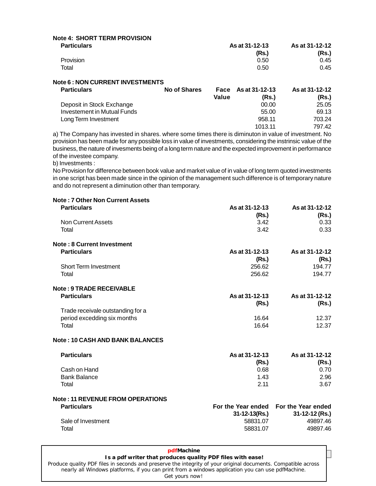| <b>Particulars</b> | As at 31-12-13 | As at 31-12-12 |
|--------------------|----------------|----------------|
|                    | (Rs.)          | (Rs.)          |
| <b>Provision</b>   | 0.50           | 0.45           |
| Total              | 0.50           | 0.45           |

| <b>Particulars</b>          | <b>No of Shares</b> | Value | Face As at 31-12-13<br>(Rs.) | As at 31-12-12<br>(Rs.) |
|-----------------------------|---------------------|-------|------------------------------|-------------------------|
| Deposit in Stock Exchange   |                     |       | 00.00                        | 25.05                   |
| Investement in Mutual Funds |                     |       | 55.00                        | 69.13                   |
| Long Term Investment        |                     |       | 958.11                       | 703.24                  |
|                             |                     |       | 1013.11                      | 797.42                  |

a) The Company has invested in shares. where some times there is diminuton in value of investment. No provision has been made for any possible loss in value of investments, considering the instrinsic value of the business, the nature of invesments being of a long term nature and the expected improvement in performance of the investee company.

b) Investments :

**Note 6 : NON CURRENT INVESTMENTS**

No Provision for difference between book value and market value of in value of long term quoted investments in one script has been made since in the opinion of the management such difference is of temporary nature and do not represent a diminution other than temporary.

| <b>Note: 7 Other Non Current Assets</b> |                     |                                       |
|-----------------------------------------|---------------------|---------------------------------------|
| <b>Particulars</b>                      | As at 31-12-13      | As at 31-12-12                        |
|                                         | (Rs.)               | (Rs.)                                 |
| <b>Non Current Assets</b>               | 3.42                | 0.33                                  |
| Total                                   | 3.42                | 0.33                                  |
| <b>Note: 8 Current Investment</b>       |                     |                                       |
| <b>Particulars</b>                      | As at 31-12-13      | As at 31-12-12                        |
|                                         | (Rs.)               | (Rs.)                                 |
| <b>Short Term Investment</b>            | 256.62              | 194.77                                |
| Total                                   | 256.62              | 194.77                                |
| <b>Note: 9 TRADE RECEIVABLE</b>         |                     |                                       |
| <b>Particulars</b>                      | As at 31-12-13      | As at 31-12-12                        |
|                                         | (Rs.)               | (Rs.)                                 |
| Trade receivale outstanding for a       |                     |                                       |
| period excedding six months             | 16.64               | 12.37                                 |
| Total                                   | 16.64               | 12.37                                 |
| <b>Note: 10 CASH AND BANK BALANCES</b>  |                     |                                       |
| <b>Particulars</b>                      | As at 31-12-13      | As at 31-12-12                        |
|                                         | (Rs.)               | (Rs.)                                 |
| Cash on Hand                            | 0.68                | 0.70                                  |
| <b>Bank Balance</b>                     | 1.43                | 2.96                                  |
| Total                                   | 2.11                | 3.67                                  |
| <b>Note: 11 REVENUE FROM OPERATIONS</b> |                     |                                       |
| <b>Particulars</b>                      |                     | For the Year ended For the Year ended |
|                                         | $31 - 12 - 13(Rs.)$ | 31-12-12 (Rs.)                        |
| Sale of Investment                      | 58831.07            | 49897.46                              |
| Total                                   | 58831.07            | 49897.46                              |

#### **19 Annual Lie**<br>**Is a pdf writer that produces quality PDF files with ease! pdfMachine**  [Produce quality PDF files in seconds and preserve the integrity of your original documents. Compatible across](http://www.pdfmachine.com?cl)  nearly all Windows platforms, if you can print from a windows application you can use pdfMachine. Get yours now!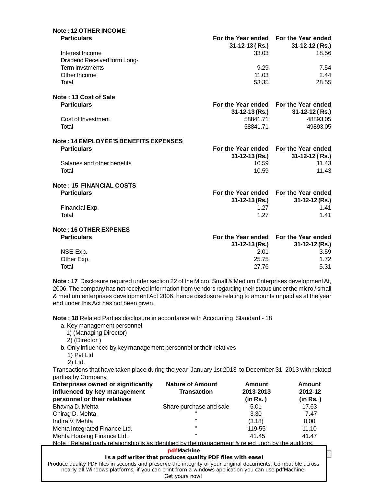| Note: 12 OTHER INCOME                           |                      |                                                               |
|-------------------------------------------------|----------------------|---------------------------------------------------------------|
| <b>Particulars</b>                              | 31-12-13 ( Rs.)      | For the Year ended For the Year ended<br>$31 - 12 - 12$ (Rs.) |
| Interest Income<br>Dividend Received form Long- | 33.03                | 18.56                                                         |
| <b>Term Invstments</b>                          | 9.29                 | 7.54                                                          |
| Other Income                                    | 11.03                | 2.44                                                          |
| Total                                           | 53.35                | 28.55                                                         |
| Note: 13 Cost of Sale                           |                      |                                                               |
| <b>Particulars</b>                              |                      | For the Year ended For the Year ended                         |
|                                                 | 31-12-13 (Rs.)       | $31 - 12 - 12$ (Rs.)                                          |
| Cost of Investment                              | 58841.71             | 48893.05                                                      |
| Total                                           | 58841.71             | 49893.05                                                      |
| Note: 14 EMPLOYEE'S BENEFITS EXPENSES           |                      |                                                               |
| <b>Particulars</b>                              |                      | For the Year ended For the Year ended                         |
|                                                 | 31-12-13 (Rs.)       | $31 - 12 - 12$ (Rs.)                                          |
| Salaries and other benefits                     | 10.59                | 11.43                                                         |
| Total                                           | 10.59                | 11.43                                                         |
| <b>Note: 15 FINANCIAL COSTS</b>                 |                      |                                                               |
| <b>Particulars</b>                              |                      | For the Year ended For the Year ended                         |
|                                                 | 31-12-13 (Rs.)       | 31-12-12 (Rs.)                                                |
| Financial Exp.                                  | 1.27                 | 1.41                                                          |
| Total                                           | 1.27                 | 1.41                                                          |
| <b>Note: 16 OTHER EXPENES</b>                   |                      |                                                               |
| <b>Particulars</b>                              |                      | For the Year ended For the Year ended                         |
|                                                 | $31 - 12 - 13$ (Rs.) | $31 - 12 - 12$ (Rs.)                                          |
| NSE Exp.                                        | 2.01                 | 3.59                                                          |
| Other Exp.                                      | 25.75                | 1.72                                                          |
| Total                                           | 27.76                | 5.31                                                          |
|                                                 |                      |                                                               |

**Note : 17** Disclosure required under section 22 of the Micro, Small & Medium Enterprises developmentAt, 2006. The company has not received information from vendors regarding their status under the micro / small & medium enterprises development Act 2006, hence disclosure relating to amounts unpaid as at the year end under this Act has not been given.

**Note : 18** Related Parties disclosure in accordance with Accounting Standard - 18

- a. Key management personnel
	- 1) (Managing Director)
	- 2) (Director )
- b. Only influenced by key management personnel or their relatives
	- 1) Pvt Ltd
	- 2) Ltd.

Transactions that have taken place during the year January 1st 2013 to December 31, 2013 with related parties by Company.

| <b>Enterprises owned or significantly</b><br>influenced by key management<br>personnel or their relatives | <b>Nature of Amount</b><br><b>Transaction</b> | Amount<br>2013-2013<br>(in Rs.) | <b>Amount</b><br>2012-12<br>(in Rs.) |  |
|-----------------------------------------------------------------------------------------------------------|-----------------------------------------------|---------------------------------|--------------------------------------|--|
|                                                                                                           |                                               |                                 |                                      |  |
| Bhavna D. Mehta                                                                                           | Share purchase and sale                       | 5.01                            | 17.63                                |  |
| Chirag D. Mehta                                                                                           | $\epsilon$                                    | 3.30                            | 7.47                                 |  |
| Indira V. Mehta                                                                                           | $\epsilon$                                    | (3.18)                          | 0.00                                 |  |
| Mehta Integrated Finance Ltd.                                                                             | $\epsilon$                                    | 119.55                          | 11.10                                |  |
| Mehta Housing Finance Ltd.                                                                                | $\epsilon$                                    | 41.45                           | 41.47                                |  |
| . Alata : Dalatad washi salatanakin in an-idantifiad bu tha mananamant 0 salinduman bu tha auditana       |                                               |                                 |                                      |  |

Note : Related party relationship is as identified by the management & relied upon by the auditors.

#### **pdfMachine**

## **Is a pdf writer that produces quality PDF files with ease!**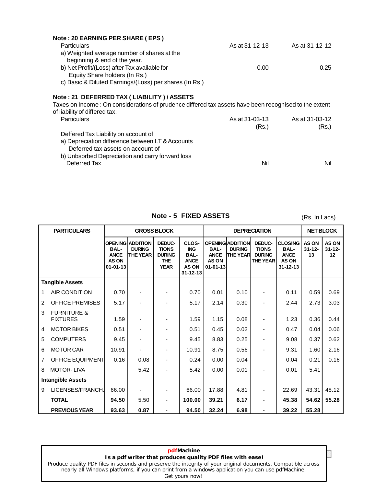| <b>Particulars</b>                                                                                    | As at 31-12-13 | As at 31-12-12 |  |
|-------------------------------------------------------------------------------------------------------|----------------|----------------|--|
| a) Weighted average number of shares at the                                                           |                |                |  |
| beginning & end of the year.                                                                          |                |                |  |
| b) Net Profit/(Loss) after Tax available for                                                          | 0.00           | 0.25           |  |
| Equity Share holders (In Rs.)                                                                         |                |                |  |
| c) Basic & Diluted Earnings/(Loss) per shares (In Rs.)                                                |                |                |  |
| Note: 21 DEFERRED TAX ( LIABILITY ) / ASSETS                                                          |                |                |  |
| Taxes on Income: On considerations of prudence differed tax assets have been recognised to the extent |                |                |  |
| of liability of differed tax.                                                                         |                |                |  |
|                                                                                                       |                |                |  |
| <b>Particulars</b>                                                                                    | As at 31-03-13 | As at 31-03-12 |  |
|                                                                                                       | (Rs.)          | (Rs.)          |  |
| Deffered Tax Liability on account of                                                                  |                |                |  |
| a) Depreciation difference between I.T & Accounts                                                     |                |                |  |
| Deferred tax assets on account of                                                                     |                |                |  |
| b) Unbsorbed Depreciation and carry forward loss                                                      |                |                |  |

 $(Rs. In Lacs)$ 

| <b>PARTICULARS</b>                             |                                                       |                                                             | <b>GROSS BLOCK</b>                                                   |                                                                                     | <b>DEPRECIATION</b>                                    |                                                             |                                                     | <b>NET BLOCK</b>                                                               |                                   |                                   |
|------------------------------------------------|-------------------------------------------------------|-------------------------------------------------------------|----------------------------------------------------------------------|-------------------------------------------------------------------------------------|--------------------------------------------------------|-------------------------------------------------------------|-----------------------------------------------------|--------------------------------------------------------------------------------|-----------------------------------|-----------------------------------|
|                                                | <b>BAL-</b><br><b>ANCE</b><br>AS ON<br>$01 - 01 - 13$ | <b>OPENING ADDITION</b><br><b>DURING</b><br><b>THE YEAR</b> | DEDUC-<br><b>TIONS</b><br><b>DURING</b><br><b>THE</b><br><b>YEAR</b> | CLOS-<br><b>ING</b><br><b>BAL-</b><br><b>ANCE</b><br><b>AS ON</b><br>$31 - 12 - 13$ | <b>BAL-</b><br><b>ANCE</b><br><b>AS ON</b><br>01-01-13 | <b>OPENING ADDITION</b><br><b>DURING</b><br><b>THE YEAR</b> | DEDUC-<br><b>TIONS</b><br><b>DURING</b><br>THE YEAR | <b>CLOSING</b><br><b>BAL-</b><br><b>ANCE</b><br><b>AS ON</b><br>$31 - 12 - 13$ | <b>AS ON</b><br>$31 - 12 -$<br>13 | <b>AS ON</b><br>$31 - 12 -$<br>12 |
| <b>Tangible Assets</b>                         |                                                       |                                                             |                                                                      |                                                                                     |                                                        |                                                             |                                                     |                                                                                |                                   |                                   |
| AIR CONDITION<br>1                             | 0.70                                                  |                                                             |                                                                      | 0.70                                                                                | 0.01                                                   | 0.10                                                        |                                                     | 0.11                                                                           | 0.59                              | 0.69                              |
| <b>OFFICE PREMISES</b><br>$\overline{2}$       | 5.17                                                  |                                                             |                                                                      | 5.17                                                                                | 2.14                                                   | 0.30                                                        |                                                     | 2.44                                                                           | 2.73                              | 3.03                              |
| <b>FURNITURE &amp;</b><br>3<br><b>FIXTURES</b> | 1.59                                                  |                                                             |                                                                      | 1.59                                                                                | 1.15                                                   | 0.08                                                        | ٠                                                   | 1.23                                                                           | 0.36                              | 0.44                              |
| <b>MOTOR BIKES</b><br>4                        | 0.51                                                  |                                                             |                                                                      | 0.51                                                                                | 0.45                                                   | 0.02                                                        |                                                     | 0.47                                                                           | 0.04                              | 0.06                              |
| <b>COMPUTERS</b><br>5                          | 9.45                                                  |                                                             |                                                                      | 9.45                                                                                | 8.83                                                   | 0.25                                                        |                                                     | 9.08                                                                           | 0.37                              | 0.62                              |
| <b>MOTOR CAR</b><br>6                          | 10.91                                                 |                                                             |                                                                      | 10.91                                                                               | 8.75                                                   | 0.56                                                        |                                                     | 9.31                                                                           | 1.60                              | 2.16                              |
| OFFICE EQUIPMENT<br>$\overline{7}$             | 0.16                                                  | 0.08                                                        |                                                                      | 0.24                                                                                | 0.00                                                   | 0.04                                                        |                                                     | 0.04                                                                           | 0.21                              | 0.16                              |
| <b>MOTOR-LIVA</b><br>8                         |                                                       | 5.42                                                        |                                                                      | 5.42                                                                                | 0.00                                                   | 0.01                                                        |                                                     | 0.01                                                                           | 5.41                              |                                   |
| <b>Intangible Assets</b>                       |                                                       |                                                             |                                                                      |                                                                                     |                                                        |                                                             |                                                     |                                                                                |                                   |                                   |
| LICENSES/FRANCH.<br>9                          | 66.00                                                 |                                                             | -                                                                    | 66.00                                                                               | 17.88                                                  | 4.81                                                        | $\overline{\phantom{a}}$                            | 22.69                                                                          | 43.31                             | 48.12                             |
| <b>TOTAL</b>                                   | 94.50                                                 | 5.50                                                        | ٠                                                                    | 100.00                                                                              | 39.21                                                  | 6.17                                                        | ÷,                                                  | 45.38                                                                          | 54.62                             | 55.28                             |
| <b>PREVIOUS YEAR</b>                           | 93.63                                                 | 0.87                                                        |                                                                      | 94.50                                                                               | 32.24                                                  | 6.98                                                        | ٠                                                   | 39.22                                                                          | 55.28                             |                                   |

**Is a pdf writer that produces quality PDF files with ease! pdfMachine**  [Produce quality PDF files in seconds and preserve the integrity of your original documents. Compatible across](http://www.pdfmachine.com?cl)  nearly all Windows platforms, if you can print from a windows application you can use pdfMachine. Get yours now!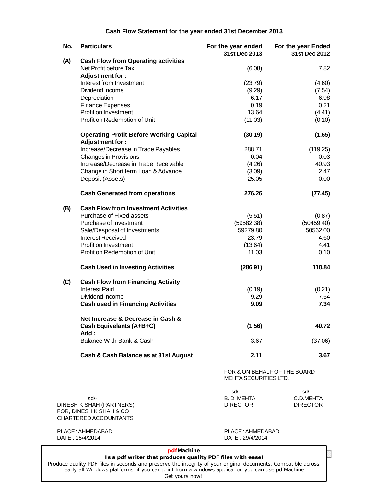#### **Cash Flow Statement for the year ended 31st December 2013**

| No. | <b>Particulars</b>                                                                     | For the year ended<br>31st Dec 2013                   | For the year Ended<br>31st Dec 2012 |  |
|-----|----------------------------------------------------------------------------------------|-------------------------------------------------------|-------------------------------------|--|
| (A) | <b>Cash Flow from Operating activities</b><br>Net Profit before Tax<br>Adjustment for: | (6.08)                                                | 7.82                                |  |
|     | Interest from Investment                                                               | (23.79)                                               | (4.60)                              |  |
|     | Dividend Income                                                                        | (9.29)                                                | (7.54)                              |  |
|     | Depreciation                                                                           | 6.17                                                  | 6.98                                |  |
|     | <b>Finance Expenses</b>                                                                | 0.19                                                  | 0.21                                |  |
|     | Profit on Investment                                                                   | 13.64                                                 | (4.41)                              |  |
|     | Profit on Redemption of Unit                                                           | (11.03)                                               | (0.10)                              |  |
|     | <b>Operating Profit Before Working Capital</b><br>Adjustment for:                      | (30.19)                                               | (1.65)                              |  |
|     | Increase/Decrease in Trade Payables                                                    | 288.71                                                | (119.25)                            |  |
|     | <b>Changes in Provisions</b>                                                           | 0.04                                                  | 0.03                                |  |
|     | Increase/Decrease in Trade Receivable                                                  | (4.26)                                                | 40.93                               |  |
|     | Change in Short term Loan & Advance                                                    | (3.09)                                                | 2.47                                |  |
|     | Deposit (Assets)                                                                       | 25.05                                                 | 0.00                                |  |
|     | <b>Cash Generated from operations</b>                                                  | 276.26                                                | (77.45)                             |  |
| (B) | <b>Cash Flow from Investment Activities</b>                                            |                                                       |                                     |  |
|     | Purchase of Fixed assets                                                               | (5.51)                                                | (0.87)                              |  |
|     | Purchase of Investment                                                                 | (59582.38)                                            | (50459.40)                          |  |
|     | Sale/Desposal of Investments                                                           | 59279.80                                              | 50562.00                            |  |
|     | <b>Interest Received</b>                                                               | 23.79                                                 | 4.60                                |  |
|     | Profit on Investment                                                                   | (13.64)                                               | 4.41                                |  |
|     | Profit on Redemption of Unit                                                           | 11.03                                                 | 0.10                                |  |
|     | <b>Cash Used in Investing Activities</b>                                               | (286.91)                                              | 110.84                              |  |
| (C) | <b>Cash Flow from Financing Activity</b>                                               |                                                       |                                     |  |
|     | <b>Interest Paid</b>                                                                   | (0.19)                                                | (0.21)                              |  |
|     | Dividend Income                                                                        | 9.29                                                  | 7.54                                |  |
|     | <b>Cash used in Financing Activities</b>                                               | 9.09                                                  | 7.34                                |  |
|     | Net Increase & Decrease in Cash &                                                      |                                                       |                                     |  |
|     | Cash Equivelants (A+B+C)<br>Add:                                                       | (1.56)                                                | 40.72                               |  |
|     | Balance With Bank & Cash                                                               | 3.67                                                  | (37.06)                             |  |
|     | Cash & Cash Balance as at 31st August                                                  | 2.11                                                  | 3.67                                |  |
|     |                                                                                        | FOR & ON BEHALF OF THE BOARD<br>MEHTA SECURITIES LTD. |                                     |  |
|     |                                                                                        | sd/-                                                  | sd/-                                |  |
|     | sd/-                                                                                   | B.D. MEHTA                                            | C.D.MEHTA                           |  |
|     | DINESH K SHAH (PARTNERS)                                                               | <b>DIRECTOR</b>                                       | <b>DIRECTOR</b>                     |  |
|     | FOR, DINESH K SHAH & CO<br>CHARTERED ACCOUNTANTS                                       |                                                       |                                     |  |
|     |                                                                                        |                                                       |                                     |  |
|     | PLACE: AHMEDABAD                                                                       | PLACE: AHMEDABAD                                      |                                     |  |
|     | DATE: 15/4/2014                                                                        | DATE: 29/4/2014                                       |                                     |  |

#### **pdfMachine**

## **Is a pdf writer that produces quality PDF files with ease!**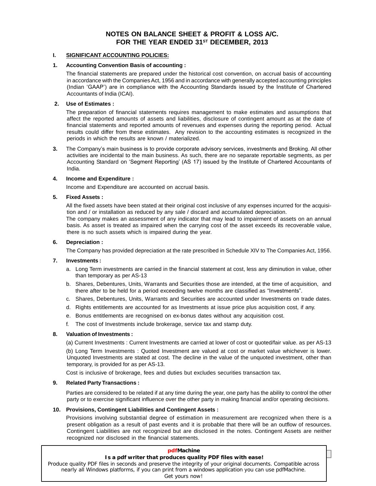#### **NOTES ON BALANCE SHEET & PROFIT & LOSS A/C. FOR THE YEAR ENDED 31 ST DECEMBER, 2013**

#### **I. SIGNIFICANT ACCOUNTING POLICIES:**

#### **1. Accounting Convention Basis of accounting :**

The financial statements are prepared under the historical cost convention, on accrual basis of accounting in accordance with the Companies Act, 1956 and in accordance with generally accepted accounting principles The financial statements are prepared under the historical cost convention, on accrual basis of accounting<br>in accordance with the Companies Act, 1956 and in accordance with generally accepted accounting principles<br>(Indian Accountants of India (ICAI).

#### **2. Use of Estimates :**

The preparation of financial statements requires management to make estimates and assumptions that affect the reported amounts of assets and liabilities, disclosure of contingent amount as at the date of financial statements and reported amounts of revenues and expenses during the reporting period. Actual results could differ from these estimates. Any revision to the accounting estimates is recognized in the periods in which the results are known / materialized. results could differ from these estimates. Any revision to the accounting estimates is recognized in the<br>periods in which the results are known / materialized.<br>3. The Company's main business is to provide corporate advisor

activities are incidental to the main business. As such, there are no separate reportable segments, as per The Company's main business is to provide corporate advisory services, investments and Broking. All other<br>activities are incidental to the main business. As such, there are no separate reportable segments, as per<br>Accountin India.

#### **4. Income and Expenditure :**

Income and Expenditure are accounted on accrual basis.

#### **5. Fixed Assets :**

All the fixed assets have been stated at their original cost inclusive of any expenses incurred for the acquisition and / or installation as reduced by any sale / discard and accumulated depreciation.

The company makes an assessment of any indicator that may lead to impairment of assets on an annual basis. As asset is treated as impaired when the carrying cost of the asset exceeds its recoverable value, there is no such assets which is impaired during the year.

#### **6. Depreciation :**

The Company has provided depreciation at the rate prescribed in Schedule XIV to The Companies Act, 1956.

#### **7. Investments :**

- a. Long Term investments are carried in the financial statement at cost, less any diminution in value, other than temporary as per AS-13
- b. Shares, Debentures, Units, Warrants and Securities those are intended, at the time of acquisition, and than temporary as per AS-13<br>Shares, Debentures, Units, Warrants and Securities those are intended, at the time of acquisitio<br>there after to be held for a period exceeding twelve months are classified as "Investments".
- c. Shares, Debentures, Units, Warrants and Securities are accounted under Investments on trade dates.
- d. Rights entitlements are accounted for as Investments at issue price plus acquisition cost, if any.
- e. Bonus entitlements are recognised on ex-bonus dates without any acquisition cost.
- f. The cost of Investments include brokerage, service tax and stamp duty.

#### **8. Valuation of Investments :**

(a) Current Investments : Current Investments are carried at lower of cost or quoted/fair value. as per AS-13 (b) Long Term Investments : Quoted Investment are valued at cost or market value whichever is lower. Unquoted Investments are stated at cost. The decline in the value of the unquoted investment, other than temporary, is provided for as per AS-13.

Cost is inclusive of brokerage, fees and duties but excludes securities transaction tax.

#### **9. Related Party Transactions :**

Parties are considered to be related if at any time during the year, one party has the ability to control the other party or to exercise significant influence over the other party in making financial and/or operating decisions.

#### **10. Provisions, Contingent Liabilities and Contingent Assets :**

Provisions involving substantial degree of estimation in measurement are recognized when there is a present obligation as a result of past events and it is probable that there will be an outflow of resources. Contingent Liabilities are not recognized but are disclosed in the notes. Contingent Assets are neither recognized nor disclosed in the financial statements.

| pdfMachine                                                                                                                                                                                                                           |  |
|--------------------------------------------------------------------------------------------------------------------------------------------------------------------------------------------------------------------------------------|--|
| Is a pdf writer that produces quality PDF files with ease!                                                                                                                                                                           |  |
| Produce quality PDF files in seconds and preserve the integrity of your original documents. Compatible across<br>nearly all Windows platforms, if you can print from a windows application you can use pdfMachine.<br>Get yours now! |  |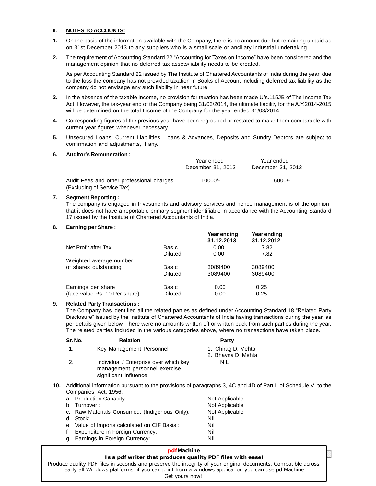#### **II. NOTESTOACCOUNTS:**

- **1.** On the basis of the information available with the Company, there is no amount due but remaining unpaid as on 31st December 2013 to any suppliers who is a small scale or ancillary industrial undertaking.
- **2.** The requirement of Accounting Standard 22 "Accounting for Taxes on Income" have been considered and the management opinion that no deferred tax assets/liability needs to be created.

As per Accounting Standard 22 issued by The Institute of Chartered Accountants of India during the year, due to the loss the company has not provided taxation in Books of Account including deferred tax liability as the company do not envisage any such liability in near future.

- **3.** In the absence of the taxable income, no provision for taxation has been made U/s.115JB of The Income Tax Act. However, the tax-year end of the Company being 31/03/2014, the ultimate liability for the A.Y.2014-2015 will be determined on the total Income of the Company for the year ended 31/03/2014.
- **4.** Corresponding figures of the previous year have been regrouped or restated to make them comparable with current year figures whenever necessary.
- **5.** Unsecured Loans, Current Liabilities, Loans & Advances, Deposits and Sundry Debtors are subject to confirmation and adjustments, if any. **6. Auditorís Remuneration :**

|                                                                         | Year ended<br>December 31, 2013 | Year ended<br>December 31, 2012 |  |
|-------------------------------------------------------------------------|---------------------------------|---------------------------------|--|
| Audit Fees and other professional charges<br>(Excluding of Service Tax) | $10000/-$                       | $6000/-$                        |  |

#### **7. Segment Reporting :**

The company is engaged in Investments and advisory services and hence management is of the opinion that it does not have a reportable primary segment identifiable in accordance with the Accounting Standard 17 issued by the Institute of Chartered Accountants of India.

#### **8. Earning per Share :**

|                               |                | Year ending<br>31.12.2013 | Year ending<br>31.12.2012 |  |
|-------------------------------|----------------|---------------------------|---------------------------|--|
| Net Profit after Tax          | Basic          | 0.00                      | 7.82                      |  |
|                               | <b>Diluted</b> | 0.00                      | 7.82                      |  |
| Weighted average number       |                |                           |                           |  |
| of shares outstanding         | Basic          | 3089400                   | 3089400                   |  |
|                               | <b>Diluted</b> | 3089400                   | 3089400                   |  |
| Earnings per share            | Basic          | 0.00                      | 0.25                      |  |
| (face value Rs. 10 Per share) | Diluted        | 0.00                      | 0.25                      |  |

#### **9. Related Party Transactions :**

(race value Ks. To Per share)<br>Related Party Transactions :<br>The Company has identified all the related parties as defined under Accounting Standard 18 "Related Party **Related Party Transactions :**<br>The Company has identified all the related parties as defined under Accounting Standard 18 "Related Party<br>Disclosure" issued by the Institute of Chartered Accountants of India having transact per details given below. There were no amounts written off or written back from such parties during the year. The related parties included in the various categories above, where no transactions have taken place.

| Sr. No. | <b>Relation</b>                                                                                  | Party                                    |  |
|---------|--------------------------------------------------------------------------------------------------|------------------------------------------|--|
| 1.      | Key Management Personnel                                                                         | 1. Chirag D. Mehta<br>2. Bhavna D. Mehta |  |
| 2.      | Individual / Enterprise over which key<br>management personnel exercise<br>significant influence | <b>NIL</b>                               |  |

**10.** Additional information pursuant to the provisions of paragraphs 3, 4C and 4D of PartII of Schedule VI to the Companies Act, 1956.

|    | a. Production Capacity:                       | Not Applicable |
|----|-----------------------------------------------|----------------|
|    | b. Turnover:                                  | Not Applicable |
|    | c. Raw Materials Consumed: (Indigenous Only): | Not Applicable |
|    | d. Stock:                                     | Nil            |
|    | e. Value of Imports calculated on CIF Basis:  | Nil            |
| f. | Expenditure in Foreign Currency:              | Nil            |
| q. | Earnings in Foreign Currency:                 | Nil            |

#### **pdfMachine**

## **24 Annual Report : 2013 Is a pdf writer that produces quality PDF files with ease!**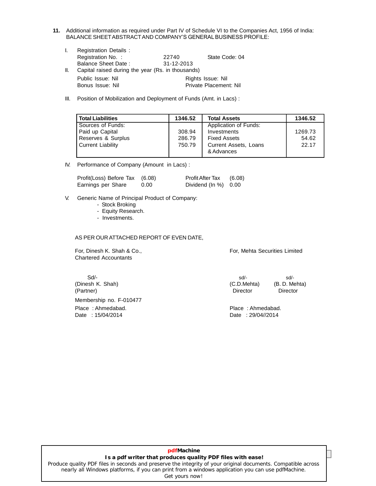- **11.** Additional information as required under Part IV of Schedule VI to the Companies Act, 1956 of India: Additional information as required under Part IV of Schedule VI to the Companies Act,<br>BALANCE SHEET ABSTRACT AND COMPANY'S GENERAL BUSINESS PROFILE:
	- I. Registration Details : Registration No. : 22740 State Code: 04 Balance Sheet Date : 31-12-2013 II. Capital raised during the year (Rs. in thousands) Public Issue: Nil **Public Issue: Nil** Rights Issue: Nil Bonus Issue: Nil Private Placement: Nil
	- III. Position of Mobilization and Deployment of Funds (Amt. in Lacs) :

| <b>Total Liabilities</b> | 1346.52 | <b>Total Assets</b>   | 1346.52 |
|--------------------------|---------|-----------------------|---------|
| Sources of Funds:        |         | Application of Funds: |         |
| Paid up Capital          | 308.94  | Investments           | 1269.73 |
| Reserves & Surplus       | 286.79  | <b>Fixed Assets</b>   | 54.62   |
| <b>Current Liability</b> | 750.79  | Current Assets, Loans | 22.17   |
|                          |         | & Advances            |         |

IV. Performance of Company (Amount in Lacs) :

| Profit(Loss) Before Tax (6.08) |      | <b>Profit After Tax</b>           | (6.08) |
|--------------------------------|------|-----------------------------------|--------|
| Earnings per Share             | 0.00 | Dividend $(\ln \frac{9}{6})$ 0.00 |        |

- V. Generic Name of Principal Product of Company:
	- Stock Broking
	- Equity Research.
	- Investments.

AS PER OUR ATTACHED REPORT OF EVEN DATE,

Chartered Accountants

For, Dinesh K. Shah & Co., **For**, Mehta Securities Limited

(Partner) Director Director Membership no. F-010477 Place : Ahmedabad. Place : Ahmedabad. Date : 15/04/2014 Date : 29/04//2014

 $Sd$  sd/- sd/- sd/-(Dinesh K. Shah) (C.D.Mehta) (B. D. Mehta)

#### **25 Annual Report : 2013 Is a pdf writer that produces quality PDF files with ease! pdfMachine**